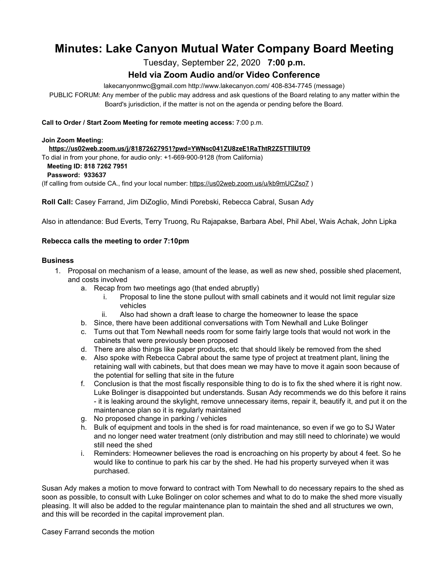# **Minutes: Lake Canyon Mutual Water Company Board Meeting**

Tuesday, September 22, 2020 **7:00 p.m.**

# **Held via Zoom Audio and/or Video Conference**

lakecanyonmwc@gmail.com http://www.lakecanyon.com/ 408-834-7745 (message)

PUBLIC FORUM: Any member of the public may address and ask questions of the Board relating to any matter within the Board's jurisdiction, if the matter is not on the agenda or pending before the Board.

#### **Call to Order / Start Zoom Meeting for remote meeting access:** 7:00 p.m.

#### **Join Zoom Meeting:**

 **<https://us02web.zoom.us/j/81872627951?pwd=YWNsc041ZU8zeE1RaThtR2Z5TTllUT09>**

To dial in from your phone, for audio only: +1-669-900-9128 (from California)

### **Meeting ID: 818 7262 7951**

**Password: 933637**

(If calling from outside CA., find your local number: <https://us02web.zoom.us/u/kb9mUCZso7> )

**Roll Call:** Casey Farrand, Jim DiZoglio, Mindi Porebski, Rebecca Cabral, Susan Ady

Also in attendance: Bud Everts, Terry Truong, Ru Rajapakse, Barbara Abel, Phil Abel, Wais Achak, John Lipka

## **Rebecca calls the meeting to order 7:10pm**

### **Business**

- 1. Proposal on mechanism of a lease, amount of the lease, as well as new shed, possible shed placement, and costs involved
	- a. Recap from two meetings ago (that ended abruptly)
		- i. Proposal to line the stone pullout with small cabinets and it would not limit regular size vehicles
		- ii. Also had shown a draft lease to charge the homeowner to lease the space
	- b. Since, there have been additional conversations with Tom Newhall and Luke Bolinger
	- c. Turns out that Tom Newhall needs room for some fairly large tools that would not work in the cabinets that were previously been proposed
	- d. There are also things like paper products, etc that should likely be removed from the shed
	- e. Also spoke with Rebecca Cabral about the same type of project at treatment plant, lining the retaining wall with cabinets, but that does mean we may have to move it again soon because of the potential for selling that site in the future
	- f. Conclusion is that the most fiscally responsible thing to do is to fix the shed where it is right now. Luke Bolinger is disappointed but understands. Susan Ady recommends we do this before it rains - it is leaking around the skylight, remove unnecessary items, repair it, beautify it, and put it on the maintenance plan so it is regularly maintained
	- g. No proposed change in parking / vehicles
	- h. Bulk of equipment and tools in the shed is for road maintenance, so even if we go to SJ Water and no longer need water treatment (only distribution and may still need to chlorinate) we would still need the shed
	- i. Reminders: Homeowner believes the road is encroaching on his property by about 4 feet. So he would like to continue to park his car by the shed. He had his property surveyed when it was purchased.

Susan Ady makes a motion to move forward to contract with Tom Newhall to do necessary repairs to the shed as soon as possible, to consult with Luke Bolinger on color schemes and what to do to make the shed more visually pleasing. It will also be added to the regular maintenance plan to maintain the shed and all structures we own, and this will be recorded in the capital improvement plan.

Casey Farrand seconds the motion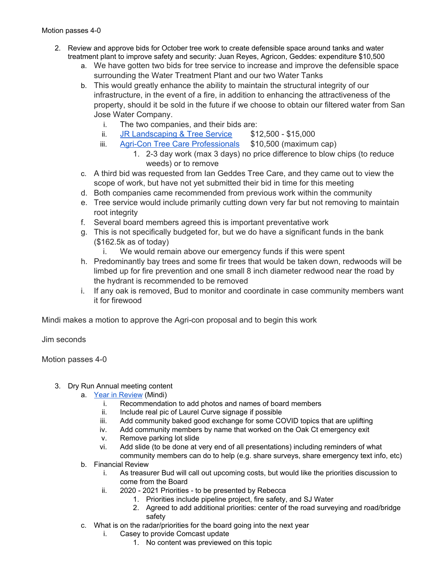- 2. Review and approve bids for October tree work to create defensible space around tanks and water treatment plant to improve safety and security: Juan Reyes, Agricon, Geddes: expenditure \$10,500
	- a. We have gotten two bids for tree service to increase and improve the defensible space surrounding the Water Treatment Plant and our two Water Tanks
	- b. This would greatly enhance the ability to maintain the structural integrity of our infrastructure, in the event of a fire, in addition to enhancing the attractiveness of the property, should it be sold in the future if we choose to obtain our filtered water from San Jose Water Company.
		- i. The two companies, and their bids are:
		- ii. JR [Landscaping](https://7e761103-1889-4c62-a205-c99a02daa857.usrfiles.com/ugd/7e7611_91b61e03f2f64aa9b717db731b64c022.pdf) & Tree Service \$12,500 \$15,000
		- iii. Agri-Con Tree Care [Professionals](https://7e761103-1889-4c62-a205-c99a02daa857.usrfiles.com/ugd/7e7611_b0b116e68d594cb8901724a0f3de1f58.pdf) \$10,500 (maximum cap)
			- 1. 2-3 day work (max 3 days) no price difference to blow chips (to reduce weeds) or to remove
	- c. A third bid was requested from Ian Geddes Tree Care, and they came out to view the scope of work, but have not yet submitted their bid in time for this meeting
	- d. Both companies came recommended from previous work within the community
	- e. Tree service would include primarily cutting down very far but not removing to maintain root integrity
	- f. Several board members agreed this is important preventative work
	- g. This is not specifically budgeted for, but we do have a significant funds in the bank (\$162.5k as of today)
		- i. We would remain above our emergency funds if this were spent
	- h. Predominantly bay trees and some fir trees that would be taken down, redwoods will be limbed up for fire prevention and one small 8 inch diameter redwood near the road by the hydrant is recommended to be removed
	- i. If any oak is removed, Bud to monitor and coordinate in case community members want it for firewood

Mindi makes a motion to approve the Agri-con proposal and to begin this work

Jim seconds

Motion passes 4-0

- 3. Dry Run Annual meeting content
	- a. Year in [Review](https://7e761103-1889-4c62-a205-c99a02daa857.usrfiles.com/ugd/7e7611_4074a3019d924681a0e1c81d7848d8b2.pptx) (Mindi)
		- i. Recommendation to add photos and names of board members
		- ii. Include real pic of Laurel Curve signage if possible
		- iii. Add community baked good exchange for some COVID topics that are uplifting
		- iv. Add community members by name that worked on the Oak Ct emergency exit
		- v. Remove parking lot slide
		- vi. Add slide (to be done at very end of all presentations) including reminders of what
		- community members can do to help (e.g. share surveys, share emergency text info, etc)
	- b. Financial Review
		- i. As treasurer Bud will call out upcoming costs, but would like the priorities discussion to come from the Board
		- ii. 2020 2021 Priorities to be presented by Rebecca
			- 1. Priorities include pipeline project, fire safety, and SJ Water
			- 2. Agreed to add additional priorities: center of the road surveying and road/bridge safety
	- c. What is on the radar/priorities for the board going into the next year
		- i. Casey to provide Comcast update
			- 1. No content was previewed on this topic